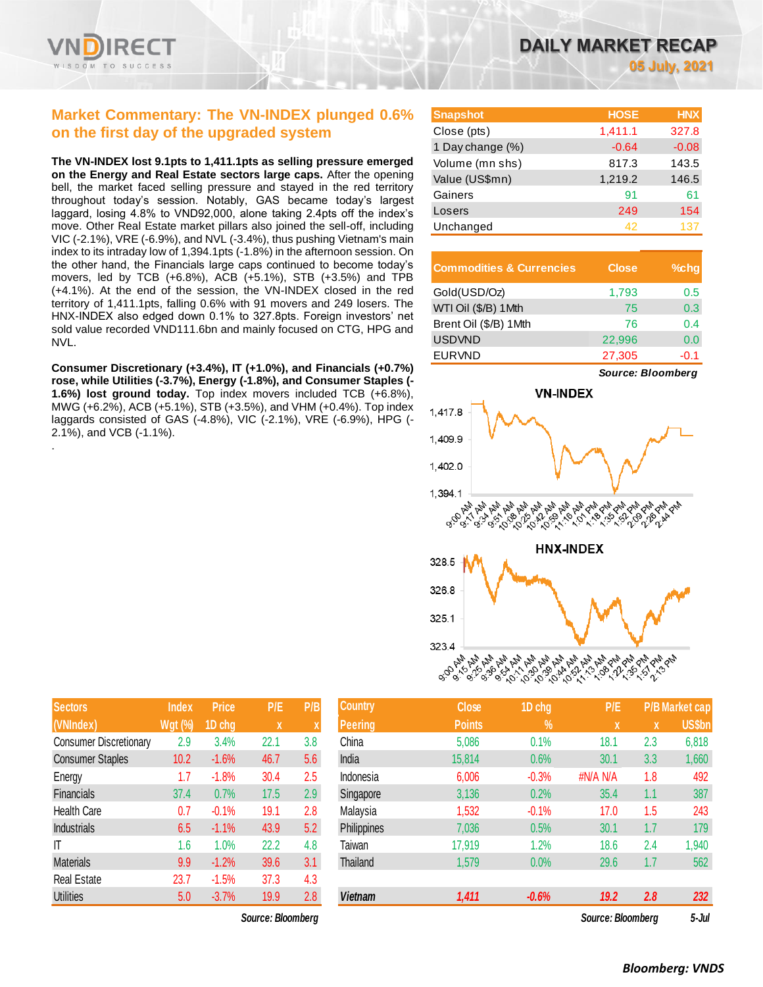

### **Market Commentary: The VN-INDEX plunged 0.6% on the first day of the upgraded system**

**The VN-INDEX lost 9.1pts to 1,411.1pts as selling pressure emerged on the Energy and Real Estate sectors large caps.** After the opening bell, the market faced selling pressure and stayed in the red territory throughout today's session. Notably, GAS became today's largest laggard, losing 4.8% to VND92,000, alone taking 2.4pts off the index's move. Other Real Estate market pillars also joined the sell-off, including VIC (-2.1%), VRE (-6.9%), and NVL (-3.4%), thus pushing Vietnam's main index to its intraday low of 1,394.1pts (-1.8%) in the afternoon session. On the other hand, the Financials large caps continued to become today's movers, led by TCB (+6.8%), ACB (+5.1%), STB (+3.5%) and TPB (+4.1%). At the end of the session, the VN-INDEX closed in the red territory of 1,411.1pts, falling 0.6% with 91 movers and 249 losers. The HNX-INDEX also edged down 0.1% to 327.8pts. Foreign investors' net sold value recorded VND111.6bn and mainly focused on CTG, HPG and NVL.

**Consumer Discretionary (+3.4%), IT (+1.0%), and Financials (+0.7%) rose, while Utilities (-3.7%), Energy (-1.8%), and Consumer Staples (- 1.6%) lost ground today.** Top index movers included TCB (+6.8%), MWG (+6.2%), ACB (+5.1%), STB (+3.5%), and VHM (+0.4%). Top index laggards consisted of GAS (-4.8%), VIC (-2.1%), VRE (-6.9%), HPG (- 2.1%), and VCB (-1.1%). .

| <b>Snapshot</b>  | <b>HOSE</b> | <b>HNX</b> |
|------------------|-------------|------------|
| Close (pts)      | 1,411.1     | 327.8      |
| 1 Day change (%) | $-0.64$     | $-0.08$    |
| Volume (mn shs)  | 817.3       | 143.5      |
| Value (US\$mn)   | 1,219.2     | 146.5      |
| Gainers          | 91          | 61         |
| Losers           | 249         | 154        |
| Unchanged        | 42          | 137        |

| <b>Commodities &amp; Currencies</b> | <b>Close</b> | $%$ chq |
|-------------------------------------|--------------|---------|
| Gold(USD/Oz)                        | 1,793        | 0.5     |
| WTI Oil (\$/B) 1Mth                 | 75           | 0.3     |
| Brent Oil (\$/B) 1Mth               | 76           | 0.4     |
| <b>USDVND</b>                       | 22,996       | 0.0     |
| <b>EURVND</b>                       | 27,305       | -0.1    |

*Source: Bloomberg*



| <b>Sectors</b>                | <b>Index</b>   | Price   | P/E  | P/B                |
|-------------------------------|----------------|---------|------|--------------------|
| (VNIndex)                     | <b>Wgt</b> (%) | 1D chg  | X    | $\pmb{\mathsf{X}}$ |
| <b>Consumer Discretionary</b> | 2.9            | 3.4%    | 22.1 | 3.8                |
| <b>Consumer Staples</b>       | 10.2           | $-1.6%$ | 46.7 | 5.6                |
| Energy                        | 1.7            | $-1.8%$ | 30.4 | 2.5                |
| Financials                    | 37.4           | 0.7%    | 17.5 | 2.9                |
| <b>Health Care</b>            | 0.7            | $-0.1%$ | 19.1 | 2.8                |
| <b>Industrials</b>            | 6.5            | $-1.1%$ | 43.9 | 5.2                |
| IT                            | 1.6            | 1.0%    | 22.2 | 4.8                |
| <b>Materials</b>              | 9.9            | $-1.2%$ | 39.6 | 3.1                |
| <b>Real Estate</b>            | 23.7           | $-1.5%$ | 37.3 | 4.3                |
| <b>Utilities</b>              | 5.0            | $-3.7%$ | 19.9 | 2.8                |

| <b>Sectors</b>                | Index          | <b>Price</b> | P/E                     | P/B     | <b>Country</b> | <b>Close</b>  | 1D chg  | P/E               |             | <b>P/B Market cap</b> |
|-------------------------------|----------------|--------------|-------------------------|---------|----------------|---------------|---------|-------------------|-------------|-----------------------|
| (VNIndex)                     | <b>Wgt (%)</b> | 1D chg       | $\overline{\mathbf{X}}$ | X       | <b>Peering</b> | <b>Points</b> | $\%$    | <b>X</b>          | $\mathbf x$ | US\$bn                |
| <b>Consumer Discretionary</b> | 2.9            | 3.4%         | 22.1                    | 3.8     | China          | 5,086         | 0.1%    | 18.1              | 2.3         | 6,818                 |
| <b>Consumer Staples</b>       | 10.2           | $-1.6%$      | 46.7                    | 5.6     | India          | 15,814        | 0.6%    | 30.1              | 3.3         | 1,660                 |
| Energy                        | 1.7            | $-1.8%$      | 30.4                    | $2.5\,$ | Indonesia      | 6,006         | $-0.3%$ | #N/A N/A          | 1.8         | 492                   |
| Financials                    | 37.4           | 0.7%         | 17.5                    | 2.9     | Singapore      | 3,136         | 0.2%    | 35.4              | 1.1         | 387                   |
| Health Care                   | 0.7            | $-0.1%$      | 19.1                    | 2.8     | Malaysia       | 1,532         | $-0.1%$ | 17.0              | 1.5         | 243                   |
| <b>Industrials</b>            | 6.5            | $-1.1%$      | 43.9                    | 5.2     | Philippines    | 7,036         | 0.5%    | 30.1              | 1.7         | 179                   |
| ΙT                            | 1.6            | 1.0%         | 22.2                    | 4.8     | Taiwan         | 17,919        | 1.2%    | 18.6              | 2.4         | 1,940                 |
| <b>Materials</b>              | 9.9            | $-1.2%$      | 39.6                    | 3.1     | Thailand       | 1,579         | 0.0%    | 29.6              | 1.7         | 562                   |
| Real Estate                   | 23.7           | $-1.5%$      | 37.3                    | 4.3     |                |               |         |                   |             |                       |
| <b>Utilities</b>              | 5.0            | $-3.7%$      | 19.9                    | 2.8     | <b>Vietnam</b> | 1,411         | $-0.6%$ | 19.2              | 2.8         | 232                   |
|                               |                |              | Source: Bloomberg       |         |                |               |         | Source: Bloomberg |             | $5 -$ Jul             |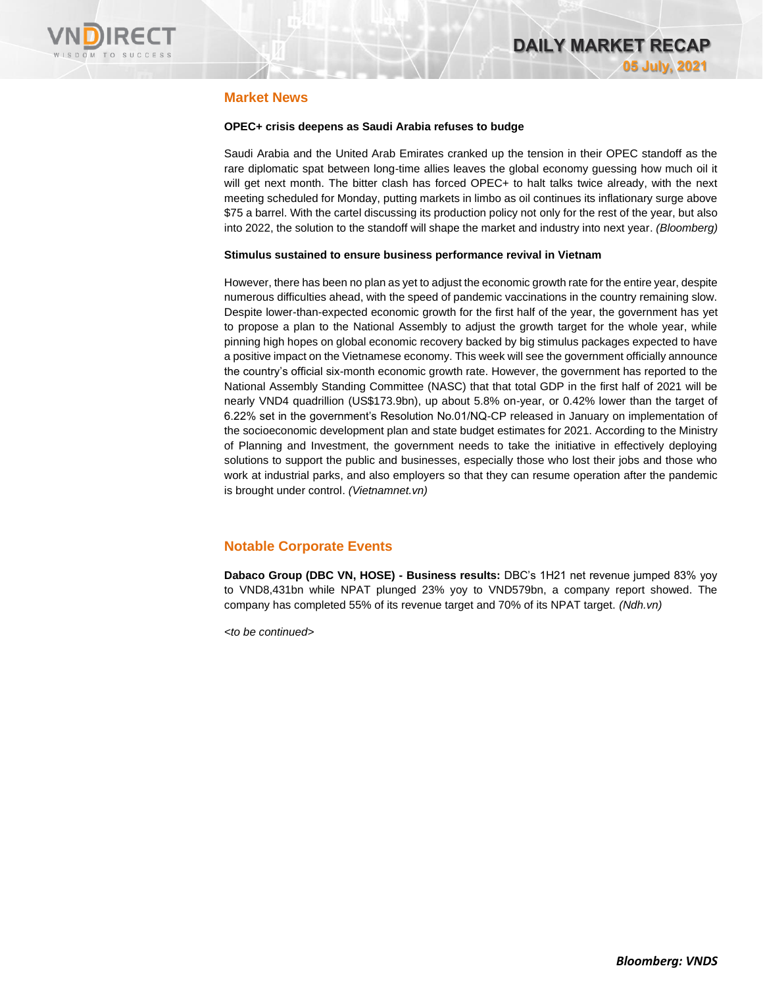

### **Market News**

#### **OPEC+ crisis deepens as Saudi Arabia refuses to budge**

Saudi Arabia and the United Arab Emirates cranked up the tension in their OPEC standoff as the rare diplomatic spat between long-time allies leaves the global economy guessing how much oil it will get next month. The bitter clash has forced OPEC+ to halt talks twice already, with the next meeting scheduled for Monday, putting markets in limbo as oil continues its inflationary surge above \$75 a barrel. With the cartel discussing its production policy not only for the rest of the year, but also into 2022, the solution to the standoff will shape the market and industry into next year. *(Bloomberg)*

#### **Stimulus sustained to ensure business performance revival in Vietnam**

However, there has been no plan as yet to adjust the economic growth rate for the entire year, despite numerous difficulties ahead, with the speed of pandemic vaccinations in the country remaining slow. Despite lower-than-expected economic growth for the first half of the year, the government has yet to propose a plan to the National Assembly to adjust the growth target for the whole year, while pinning high hopes on global economic recovery backed by big stimulus packages expected to have a positive impact on the Vietnamese economy. This week will see the government officially announce the country's official six-month economic growth rate. However, the government has reported to the National Assembly Standing Committee (NASC) that that total GDP in the first half of 2021 will be nearly VND4 quadrillion (US\$173.9bn), up about 5.8% on-year, or 0.42% lower than the target of 6.22% set in the government's Resolution No.01/NQ-CP released in January on implementation of the socioeconomic development plan and state budget estimates for 2021. According to the Ministry of Planning and Investment, the government needs to take the initiative in effectively deploying solutions to support the public and businesses, especially those who lost their jobs and those who work at industrial parks, and also employers so that they can resume operation after the pandemic is brought under control. *(Vietnamnet.vn)*

### **Notable Corporate Events**

**Dabaco Group (DBC VN, HOSE) - Business results:** DBC's 1H21 net revenue jumped 83% yoy to VND8,431bn while NPAT plunged 23% yoy to VND579bn, a company report showed. The company has completed 55% of its revenue target and 70% of its NPAT target. *(Ndh.vn)*

*<to be continued>*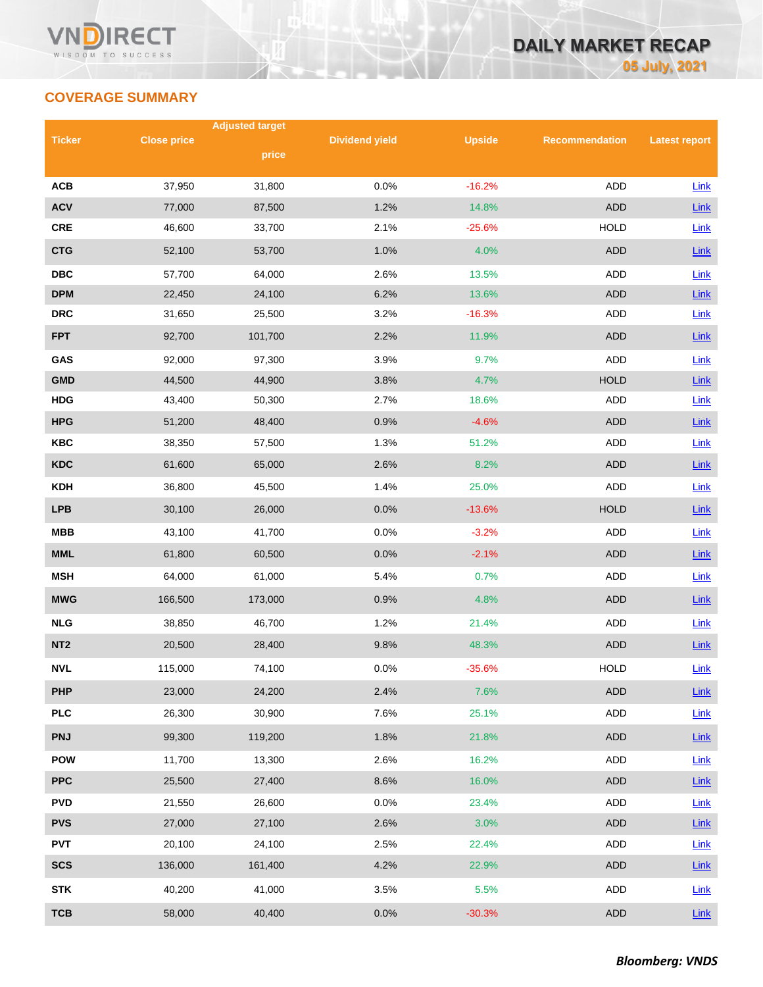## **COVERAGE SUMMARY**

|                 |                    | <b>Adjusted target</b> |                       |               |                       |                      |
|-----------------|--------------------|------------------------|-----------------------|---------------|-----------------------|----------------------|
| <b>Ticker</b>   | <b>Close price</b> | price                  | <b>Dividend yield</b> | <b>Upside</b> | <b>Recommendation</b> | <b>Latest report</b> |
|                 |                    |                        |                       |               |                       |                      |
| <b>ACB</b>      | 37,950             | 31,800                 | 0.0%                  | $-16.2%$      | <b>ADD</b>            | Link                 |
| <b>ACV</b>      | 77,000             | 87,500                 | 1.2%                  | 14.8%         | <b>ADD</b>            | Link                 |
| <b>CRE</b>      | 46,600             | 33,700                 | 2.1%                  | $-25.6%$      | <b>HOLD</b>           | Link                 |
| <b>CTG</b>      | 52,100             | 53,700                 | 1.0%                  | 4.0%          | <b>ADD</b>            | Link                 |
| <b>DBC</b>      | 57,700             | 64,000                 | 2.6%                  | 13.5%         | ADD                   | Link                 |
| <b>DPM</b>      | 22,450             | 24,100                 | 6.2%                  | 13.6%         | <b>ADD</b>            | Link                 |
| <b>DRC</b>      | 31,650             | 25,500                 | 3.2%                  | $-16.3%$      | <b>ADD</b>            | Link                 |
| <b>FPT</b>      | 92,700             | 101,700                | 2.2%                  | 11.9%         | <b>ADD</b>            | Link                 |
| GAS             | 92,000             | 97,300                 | 3.9%                  | 9.7%          | <b>ADD</b>            | Link                 |
| <b>GMD</b>      | 44,500             | 44,900                 | 3.8%                  | 4.7%          | <b>HOLD</b>           | Link                 |
| <b>HDG</b>      | 43,400             | 50,300                 | 2.7%                  | 18.6%         | ADD                   | Link                 |
| <b>HPG</b>      | 51,200             | 48,400                 | 0.9%                  | $-4.6%$       | <b>ADD</b>            | Link                 |
| <b>KBC</b>      | 38,350             | 57,500                 | 1.3%                  | 51.2%         | ADD                   | Link                 |
| <b>KDC</b>      | 61,600             | 65,000                 | 2.6%                  | 8.2%          | <b>ADD</b>            | Link                 |
| <b>KDH</b>      | 36,800             | 45,500                 | 1.4%                  | 25.0%         | ADD                   | Link                 |
| <b>LPB</b>      | 30,100             | 26,000                 | 0.0%                  | $-13.6%$      | <b>HOLD</b>           | Link                 |
| <b>MBB</b>      | 43,100             | 41,700                 | 0.0%                  | $-3.2%$       | ADD                   | Link                 |
| <b>MML</b>      | 61,800             | 60,500                 | 0.0%                  | $-2.1%$       | <b>ADD</b>            | Link                 |
| <b>MSH</b>      | 64,000             | 61,000                 | 5.4%                  | 0.7%          | ADD                   | Link                 |
| <b>MWG</b>      | 166,500            | 173,000                | 0.9%                  | 4.8%          | <b>ADD</b>            | Link                 |
| <b>NLG</b>      | 38,850             | 46,700                 | 1.2%                  | 21.4%         | ADD                   | Link                 |
| NT <sub>2</sub> | 20,500             | 28,400                 | 9.8%                  | 48.3%         | <b>ADD</b>            | Link                 |
| <b>NVL</b>      | 115,000            | 74,100                 | 0.0%                  | $-35.6%$      | <b>HOLD</b>           | Link                 |
| <b>PHP</b>      | 23,000             | 24,200                 | 2.4%                  | 7.6%          | ADD                   | Link                 |
| <b>PLC</b>      | 26,300             | 30,900                 | 7.6%                  | 25.1%         | ADD                   | Link                 |
| <b>PNJ</b>      | 99,300             | 119,200                | 1.8%                  | 21.8%         | ADD                   | Link                 |
| <b>POW</b>      | 11,700             | 13,300                 | 2.6%                  | 16.2%         | ADD                   | Link                 |
| <b>PPC</b>      | 25,500             | 27,400                 | 8.6%                  | 16.0%         | ADD                   | Link                 |
| <b>PVD</b>      | 21,550             | 26,600                 | 0.0%                  | 23.4%         | ADD                   | <b>Link</b>          |
| <b>PVS</b>      | 27,000             | 27,100                 | 2.6%                  | 3.0%          | <b>ADD</b>            | $Link$               |
| <b>PVT</b>      | 20,100             | 24,100                 | 2.5%                  | 22.4%         | ADD                   | Link                 |
| <b>SCS</b>      | 136,000            | 161,400                | 4.2%                  | 22.9%         | ADD                   | $Link$               |
| <b>STK</b>      | 40,200             | 41,000                 | 3.5%                  | 5.5%          | ADD                   | Link                 |
| <b>TCB</b>      | 58,000             | 40,400                 | 0.0%                  | $-30.3%$      | <b>ADD</b>            | Link                 |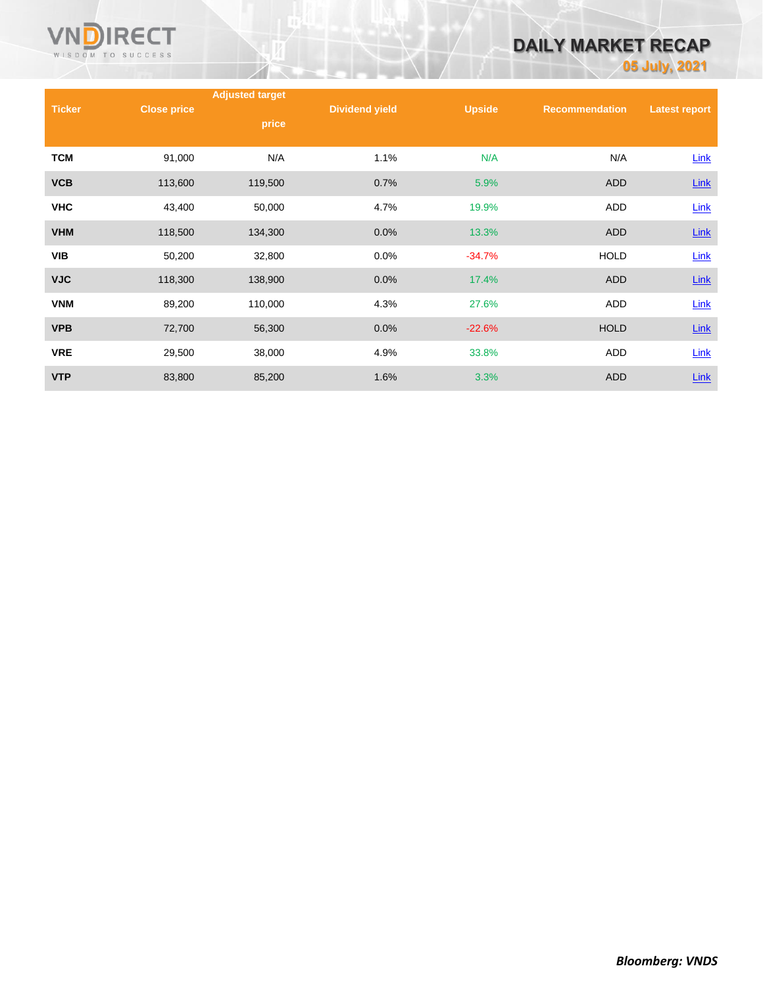

# **DAILY MARKET RECAP**

**05 July, 2021**

|               |                    | <b>Adjusted target</b> |                       |               |                       |                      |
|---------------|--------------------|------------------------|-----------------------|---------------|-----------------------|----------------------|
| <b>Ticker</b> | <b>Close price</b> | price                  | <b>Dividend yield</b> | <b>Upside</b> | <b>Recommendation</b> | <b>Latest report</b> |
|               |                    |                        |                       |               |                       |                      |
| <b>TCM</b>    | 91,000             | N/A                    | 1.1%                  | N/A           | N/A                   | Link                 |
| <b>VCB</b>    | 113,600            | 119,500                | 0.7%                  | 5.9%          | <b>ADD</b>            | $Link$               |
| <b>VHC</b>    | 43,400             | 50,000                 | 4.7%                  | 19.9%         | ADD                   | Link                 |
| <b>VHM</b>    | 118,500            | 134,300                | 0.0%                  | 13.3%         | <b>ADD</b>            | $Link$               |
| <b>VIB</b>    | 50,200             | 32,800                 | 0.0%                  | $-34.7%$      | <b>HOLD</b>           | Link                 |
| <b>VJC</b>    | 118,300            | 138,900                | 0.0%                  | 17.4%         | <b>ADD</b>            | $Link$               |
| <b>VNM</b>    | 89,200             | 110,000                | 4.3%                  | 27.6%         | ADD                   | Link                 |
| <b>VPB</b>    | 72,700             | 56,300                 | 0.0%                  | $-22.6%$      | <b>HOLD</b>           | $Link$               |
| <b>VRE</b>    | 29,500             | 38,000                 | 4.9%                  | 33.8%         | ADD                   | Link                 |
| <b>VTP</b>    | 83,800             | 85,200                 | 1.6%                  | 3.3%          | ADD                   | Link                 |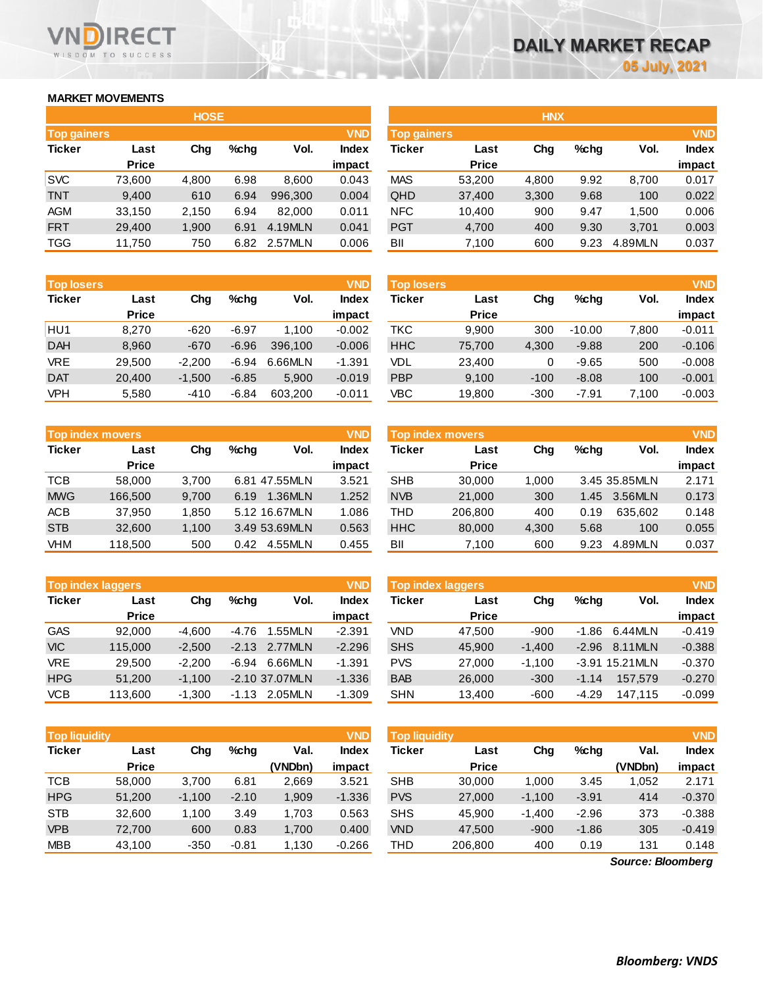### **MARKET MOVEMENTS**

WISDOM TO SUCCESS

**RECT** 

|                    | <b>HOSE</b>  |       |      |         |              |  |  |  |  |  |
|--------------------|--------------|-------|------|---------|--------------|--|--|--|--|--|
| <b>Top gainers</b> |              |       |      |         | <b>VND</b>   |  |  |  |  |  |
| <b>Ticker</b>      | Last         | Cha   | %chq | Vol.    | <b>Index</b> |  |  |  |  |  |
|                    | <b>Price</b> |       |      |         | impact       |  |  |  |  |  |
| <b>SVC</b>         | 73,600       | 4,800 | 6.98 | 8,600   | 0.043        |  |  |  |  |  |
| <b>TNT</b>         | 9,400        | 610   | 6.94 | 996,300 | 0.004        |  |  |  |  |  |
| AGM                | 33,150       | 2,150 | 6.94 | 82,000  | 0.011        |  |  |  |  |  |
| <b>FRT</b>         | 29,400       | 1,900 | 6.91 | 4.19MLN | 0.041        |  |  |  |  |  |
| <b>TGG</b>         | 11,750       | 750   | 6.82 | 2.57MLN | 0.006        |  |  |  |  |  |

| <b>Top losers</b> |              |          |         |         | <b>VND</b>   |
|-------------------|--------------|----------|---------|---------|--------------|
| <b>Ticker</b>     | Last         | Cha      | %chq    | Vol.    | <b>Index</b> |
|                   | <b>Price</b> |          |         |         | impact       |
| HU1               | 8,270        | $-620$   | $-6.97$ | 1.100   | $-0.002$     |
| <b>DAH</b>        | 8,960        | $-670$   | $-6.96$ | 396,100 | $-0.006$     |
| <b>VRE</b>        | 29,500       | $-2,200$ | $-6.94$ | 6.66MLN | $-1.391$     |
| <b>DAT</b>        | 20,400       | $-1,500$ | $-6.85$ | 5,900   | $-0.019$     |
| <b>VPH</b>        | 5,580        | $-410$   | $-6.84$ | 603,200 | $-0.011$     |

|               | <b>Top index movers</b> |       |      |               | <b>VND</b>   |
|---------------|-------------------------|-------|------|---------------|--------------|
| <b>Ticker</b> | Last                    | Cha   | %chq | Vol.          | <b>Index</b> |
|               | <b>Price</b>            |       |      |               | impact       |
| TCB           | 58,000                  | 3,700 |      | 6.81 47.55MLN | 3.521        |
| <b>MWG</b>    | 166,500                 | 9,700 | 6.19 | 1.36MLN       | 1.252        |
| <b>ACB</b>    | 37,950                  | 1,850 |      | 5.12 16.67MLN | 1.086        |
| <b>STB</b>    | 32,600                  | 1,100 |      | 3.49 53.69MLN | 0.563        |
| <b>VHM</b>    | 118,500                 | 500   | 0.42 | 4.55MLN       | 0.455        |

| <b>Top index laggers</b> |              | <b>VND</b> |         |                |              |
|--------------------------|--------------|------------|---------|----------------|--------------|
| <b>Ticker</b>            | Last         | Cha        | $%$ chq | Vol.           | <b>Index</b> |
|                          | <b>Price</b> |            |         |                | impact       |
| <b>GAS</b>               | 92.000       | $-4.600$   | $-4.76$ | 1.55MLN        | $-2.391$     |
| <b>VIC</b>               | 115,000      | $-2,500$   | $-2.13$ | 2.77MLN        | $-2.296$     |
| <b>VRE</b>               | 29,500       | $-2,200$   | $-6.94$ | 6.66MLN        | $-1.391$     |
| <b>HPG</b>               | 51,200       | $-1,100$   |         | -2.10 37.07MLN | $-1.336$     |
| <b>VCB</b>               | 113,600      | $-1.300$   | $-1.13$ | 2.05MLN        | $-1.309$     |

| <b>Top liquidity</b> |              |          |         |         |              |  |  |  |
|----------------------|--------------|----------|---------|---------|--------------|--|--|--|
| <b>Ticker</b>        | Last         | Cha      | %chq    | Val.    | <b>Index</b> |  |  |  |
|                      | <b>Price</b> |          |         | (VNDbn) | impact       |  |  |  |
| <b>TCB</b>           | 58,000       | 3,700    | 6.81    | 2,669   | 3.521        |  |  |  |
| <b>HPG</b>           | 51,200       | $-1,100$ | $-2.10$ | 1,909   | $-1.336$     |  |  |  |
| <b>STB</b>           | 32,600       | 1,100    | 3.49    | 1,703   | 0.563        |  |  |  |
| <b>VPB</b>           | 72,700       | 600      | 0.83    | 1,700   | 0.400        |  |  |  |
| <b>MBB</b>           | 43,100       | $-350$   | $-0.81$ | 1,130   | $-0.266$     |  |  |  |

| <b>Top gainers</b> |       |      |             | <b>VND</b>   |            |              |                    |         |            | <b>VND</b>   |
|--------------------|-------|------|-------------|--------------|------------|--------------|--------------------|---------|------------|--------------|
| Last               | Chg   | %chg | Vol.        | <b>Index</b> | Ticker     | Last         | Chg                | $%$ chq | Vol.       | <b>Index</b> |
| <b>Price</b>       |       |      |             | impact       |            | <b>Price</b> |                    |         |            | impact       |
| 73,600             | 4,800 | 6.98 | 8,600       | 0.043        | <b>MAS</b> | 53,200       | 4,800              | 9.92    | 8,700      | 0.017        |
| 9,400              | 610   | 6.94 | 996.300     | 0.004        | QHD        | 37,400       | 3,300              | 9.68    | 100        | 0.022        |
| 33,150             | 2,150 | 6.94 | 82.000      | 0.011        | <b>NFC</b> | 10,400       | 900                | 9.47    | 1.500      | 0.006        |
| 29,400             | 1,900 | 6.91 | 4.19MLN     | 0.041        | <b>PGT</b> | 4,700        | 400                | 9.30    | 3,701      | 0.003        |
| 11,750             | 750   | 6.82 |             | 0.006        | BII        | 7,100        | 600                | 9.23    | 4.89MLN    | 0.037        |
|                    |       |      | <b>HOSE</b> | 2.57MLN      |            |              | <b>Top gainers</b> |         | <b>HNX</b> |              |

| <b>Top losers</b> |              |          |         |         | <b>VND</b> | <b>Top losers</b> |              |        |          |       | <b>VND</b> |
|-------------------|--------------|----------|---------|---------|------------|-------------------|--------------|--------|----------|-------|------------|
| <b>Ticker</b>     | Last         | Chg      | %chq    | Vol.    | Index      | <b>Ticker</b>     | Last         | Chg    | %chq     | Vol.  | Index      |
|                   | <b>Price</b> |          |         |         | impact     |                   | <b>Price</b> |        |          |       | impact     |
| HU1               | 8.270        | $-620$   | $-6.97$ | 1.100   | $-0.002$   | ткс               | 9,900        | 300    | $-10.00$ | 7,800 | $-0.011$   |
| <b>DAH</b>        | 8,960        | $-670$   | $-6.96$ | 396,100 | $-0.006$   | <b>HHC</b>        | 75,700       | 4,300  | $-9.88$  | 200   | $-0.106$   |
| <b>VRE</b>        | 29,500       | -2.200   | $-6.94$ | 6.66MLN | $-1.391$   | VDL               | 23,400       | 0      | $-9.65$  | 500   | $-0.008$   |
| <b>DAT</b>        | 20,400       | $-1,500$ | $-6.85$ | 5.900   | $-0.019$   | <b>PBP</b>        | 9,100        | $-100$ | $-8.08$  | 100   | $-0.001$   |
| VPH               | 5,580        | $-410$   | $-6.84$ | 603.200 | $-0.011$   | VBC               | 19,800       | $-300$ | $-7.91$  | 7,100 | $-0.003$   |

| <b>VND</b><br>Top index movers |              |       |         |               |              |            | <b>Top index movers</b> |       |      |               | <b>VND</b>   |
|--------------------------------|--------------|-------|---------|---------------|--------------|------------|-------------------------|-------|------|---------------|--------------|
| Ticker                         | Last         | Chg   | $%$ chq | Vol.          | <b>Index</b> | Ticker     | Last                    | Chg   | %chq | Vol.          | <b>Index</b> |
|                                | <b>Price</b> |       |         |               | impact       |            | <b>Price</b>            |       |      |               | impact       |
| тсв                            | 58,000       | 3.700 |         | 6.81 47.55MLN | 3.521        | <b>SHB</b> | 30.000                  | 1.000 |      | 3.45 35.85MLN | 2.171        |
| <b>MWG</b>                     | 166.500      | 9.700 | 6.19    | 1.36MLN       | 1.252        | <b>NVB</b> | 21,000                  | 300   | 1.45 | 3.56MLN       | 0.173        |
| ACB                            | 37.950       | 1,850 |         | 5.12 16.67MLN | 1.086        | THD        | 206.800                 | 400   | 0.19 | 635.602       | 0.148        |
| <b>STB</b>                     | 32,600       | 1,100 |         | 3.49 53.69MLN | 0.563        | <b>HHC</b> | 80,000                  | 4.300 | 5.68 | 100           | 0.055        |
| VHM                            | 118,500      | 500   | 0.42    | 4.55MLN       | 0.455        | BII        | 7,100                   | 600   | 9.23 | 4.89MLN       | 0.037        |

| <b>VND</b><br><b>Top index laggers</b> |              |          |         |                  |          | Top index laggers |              |          |         |                 | <b>VND</b>   |
|----------------------------------------|--------------|----------|---------|------------------|----------|-------------------|--------------|----------|---------|-----------------|--------------|
| Ticker                                 | Last         | Chg      | $%$ chq | Vol.             | Index    | Ticker            | Last         | Chg      | $%$ chq | Vol.            | <b>Index</b> |
|                                        | <b>Price</b> |          |         |                  | impact   |                   | <b>Price</b> |          |         |                 | impact       |
| GAS                                    | 92.000       | $-4.600$ | -4.76   | 1.55MLN          | $-2.391$ | VND               | 47.500       | $-900$   | $-1.86$ | 6.44MLN         | $-0.419$     |
| <b>VIC</b>                             | 115,000      | $-2.500$ | $-2.13$ | 2.77MLN          | $-2.296$ | <b>SHS</b>        | 45,900       | $-1.400$ | $-2.96$ | 8.11MLN         | $-0.388$     |
| <b>VRE</b>                             | 29.500       | $-2.200$ | $-6.94$ | 6.66MLN          | $-1.391$ | <b>PVS</b>        | 27,000       | $-1.100$ |         | -3.91 15.21 MLN | $-0.370$     |
| <b>HPG</b>                             | 51,200       | $-1.100$ |         | $-2.10$ 37.07MLN | $-1.336$ | <b>BAB</b>        | 26,000       | $-300$   | $-1.14$ | 157.579         | $-0.270$     |
| VCB                                    | 113,600      | $-1.300$ | $-1.13$ | 2.05MLN          | $-1.309$ | <b>SHN</b>        | 13.400       | $-600$   | $-4.29$ | 147.115         | $-0.099$     |

| Top liquidity' |              |          |         |         | <b>VND</b> | <b>Top liquidity</b> |              |          |         |         | <b>VND</b>   |
|----------------|--------------|----------|---------|---------|------------|----------------------|--------------|----------|---------|---------|--------------|
| Ticker         | Last         | Chg      | $%$ chq | Val.    | Index      | Ticker               | Last         | Chg      | $%$ chq | Val.    | <b>Index</b> |
|                | <b>Price</b> |          |         | (VNDbn) | impact     |                      | <b>Price</b> |          |         | (VNDbn) | impact       |
| тсв            | 58,000       | 3.700    | 6.81    | 2.669   | 3.521      | <b>SHB</b>           | 30,000       | 1,000    | 3.45    | 1.052   | 2.171        |
| HPG            | 51,200       | $-1,100$ | $-2.10$ | 1.909   | $-1.336$   | <b>PVS</b>           | 27,000       | $-1,100$ | $-3.91$ | 414     | $-0.370$     |
| <b>STB</b>     | 32,600       | 1.100    | 3.49    | 1.703   | 0.563      | <b>SHS</b>           | 45.900       | $-1.400$ | $-2.96$ | 373     | $-0.388$     |
| <b>VPB</b>     | 72.700       | 600      | 0.83    | 1,700   | 0.400      | <b>VND</b>           | 47,500       | $-900$   | $-1.86$ | 305     | $-0.419$     |
| <b>MBB</b>     | 43.100       | -350     | $-0.81$ | 1,130   | $-0.266$   | THD                  | 206,800      | 400      | 0.19    | 131     | 0.148        |

*Source: Bloomberg*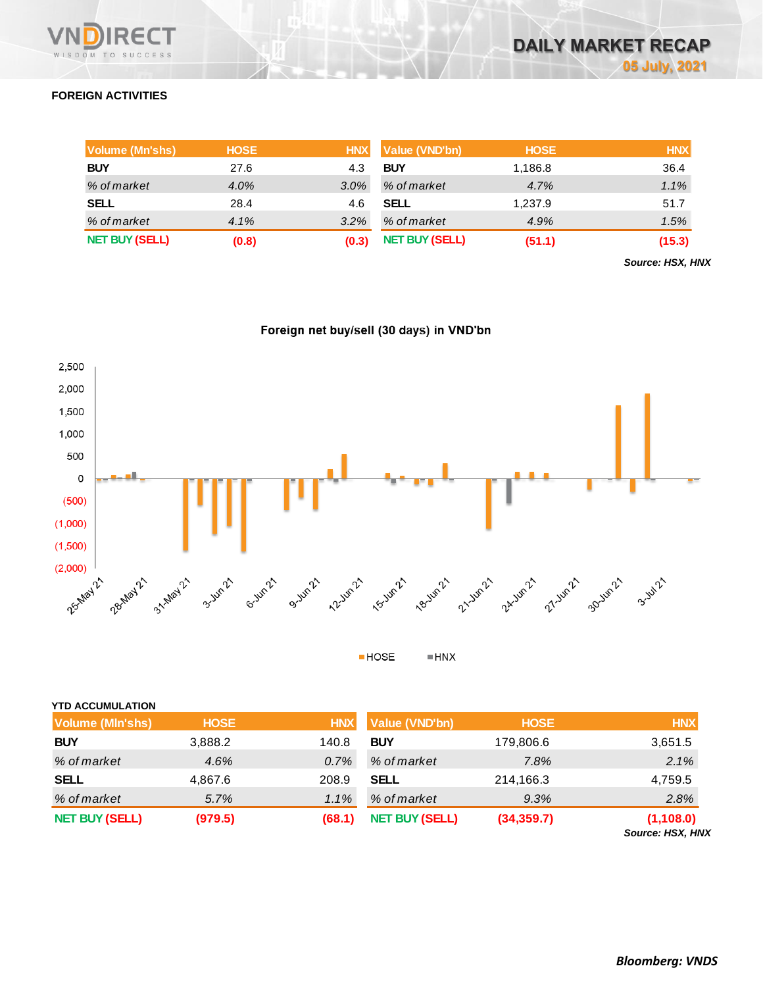

### **FOREIGN ACTIVITIES**

| Volume (Mn'shs)       | <b>HOSE</b> | <b>HNX</b> | Value (VND'bn)        | <b>HOSE</b> | <b>HNX</b> |
|-----------------------|-------------|------------|-----------------------|-------------|------------|
| <b>BUY</b>            | 27.6        | 4.3        | <b>BUY</b>            | 1,186.8     | 36.4       |
| % of market           | 4.0%        | $3.0\%$    | % of market           | 4.7%        | 1.1%       |
| <b>SELL</b>           | 28.4        | 4.6        | <b>SELL</b>           | 1,237.9     | 51.7       |
| % of market           | 4.1%        | 3.2%       | % of market           | 4.9%        | 1.5%       |
| <b>NET BUY (SELL)</b> | (0.8)       | (0.3)      | <b>NET BUY (SELL)</b> | (51.1)      | (15.3)     |

*Source: HSX, HNX*





 $HOSE$  $\blacksquare$  HNX

| <b>YTD ACCUMULATION</b> |             |            |                       |             |                                       |
|-------------------------|-------------|------------|-----------------------|-------------|---------------------------------------|
| <b>Volume (MIn'shs)</b> | <b>HOSE</b> | <b>HNX</b> | Value (VND'bn)        | <b>HOSE</b> | <b>HNX</b>                            |
| <b>BUY</b>              | 3,888.2     | 140.8      | <b>BUY</b>            | 179,806.6   | 3,651.5                               |
| % of market             | 4.6%        | 0.7%       | % of market           | 7.8%        | 2.1%                                  |
| <b>SELL</b>             | 4,867.6     | 208.9      | <b>SELL</b>           | 214,166.3   | 4,759.5                               |
| % of market             | 5.7%        | 1.1%       | % of market           | 9.3%        | 2.8%                                  |
| <b>NET BUY (SELL)</b>   | (979.5)     | (68.1)     | <b>NET BUY (SELL)</b> | (34, 359.7) | (1, 108.0)<br><b>Source: HSX, HNX</b> |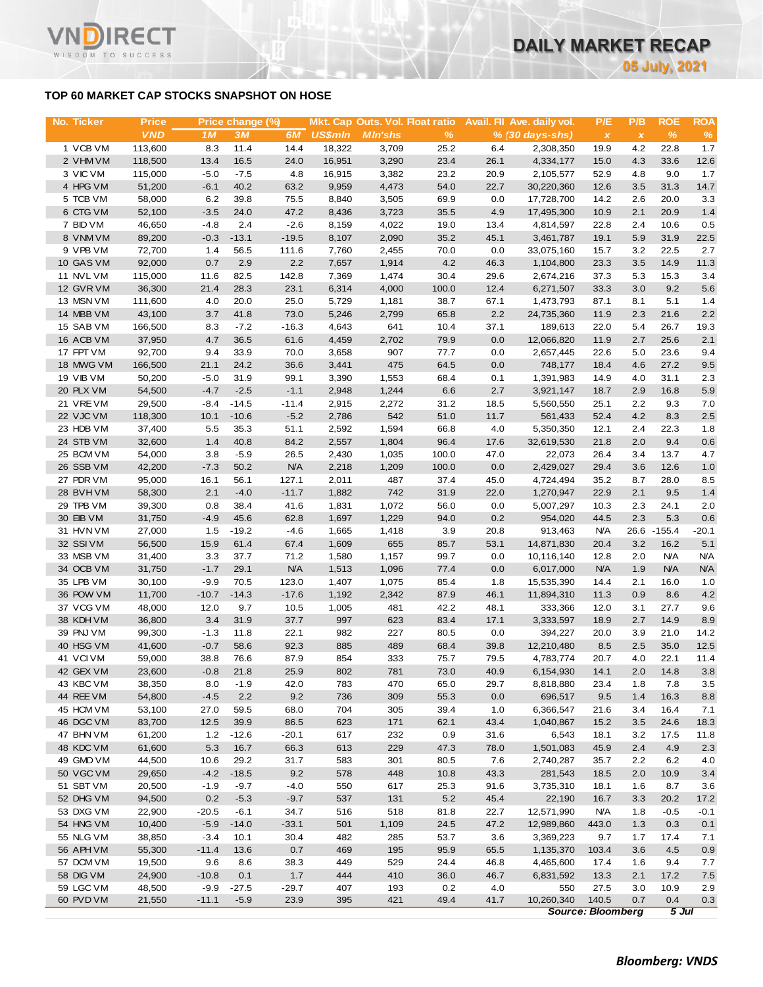### **TOP 60 MARKET CAP STOCKS SNAPSHOT ON HOSE**

WISDOM TO SUCCESS

| <b>No. Ticker</b>      | <b>Price</b>      |                | Price change (%) |              |                | Mkt. Cap Outs. Vol. Float ratio |               |              | Avail. Fil Ave. daily vol.  | P/E          | P/B                             | <b>ROE</b>   | ROA         |
|------------------------|-------------------|----------------|------------------|--------------|----------------|---------------------------------|---------------|--------------|-----------------------------|--------------|---------------------------------|--------------|-------------|
|                        | <b>VND</b>        | 1 <sub>M</sub> | 3M               | 6M           | <b>US\$mln</b> | <b>MIn'shs</b>                  | $\frac{9}{6}$ |              | $% (30 \, \text{days-shs})$ | $\pmb{\chi}$ | $\pmb{\chi}$                    | $\%$         | $\%$        |
| 1 VCB VM               | 113,600           | 8.3            | 11.4             | 14.4         | 18,322         | 3,709                           | 25.2          | 6.4          | 2,308,350                   | 19.9         | 4.2                             | 22.8         | 1.7         |
| 2 VHM VM               | 118,500           | 13.4           | 16.5             | 24.0         | 16,951         | 3,290                           | 23.4          | 26.1         | 4,334,177                   | 15.0         | 4.3                             | 33.6         | 12.6        |
| 3 VIC VM               | 115,000           | $-5.0$         | $-7.5$           | 4.8          | 16,915         | 3,382                           | 23.2          | 20.9         | 2,105,577                   | 52.9         | 4.8                             | 9.0          | 1.7         |
| 4 HPG VM               | 51,200            | $-6.1$         | 40.2             | 63.2         | 9,959          | 4,473                           | 54.0          | 22.7         | 30,220,360                  | 12.6         | 3.5                             | 31.3         | 14.7        |
| 5 TCB VM               | 58,000            | 6.2            | 39.8             | 75.5         | 8,840          | 3,505                           | 69.9          | 0.0          | 17,728,700                  | 14.2         | 2.6                             | 20.0         | 3.3         |
| 6 CTG VM               | 52,100            | $-3.5$         | 24.0             | 47.2         | 8,436          | 3,723                           | 35.5          | 4.9          | 17,495,300                  | 10.9         | 2.1                             | 20.9         | 1.4         |
| 7 BID VM               | 46,650            | $-4.8$         | 2.4              | $-2.6$       | 8,159          | 4,022                           | 19.0          | 13.4         | 4,814,597                   | 22.8         | 2.4                             | 10.6         | 0.5         |
| 8 VNMVM                | 89,200            | $-0.3$         | $-13.1$          | $-19.5$      | 8,107          | 2,090                           | 35.2          | 45.1         | 3,461,787                   | 19.1         | 5.9                             | 31.9         | 22.5        |
| 9 VPB VM               | 72,700            | 1.4            | 56.5             | 111.6        | 7,760          | 2,455                           | 70.0          | 0.0          | 33,075,160                  | 15.7         | 3.2                             | 22.5         | 2.7         |
| 10 GAS VM<br>11 NVL VM | 92,000<br>115,000 | 0.7            | 2.9<br>82.5      | 2.2<br>142.8 | 7,657<br>7,369 | 1,914                           | 4.2<br>30.4   | 46.3<br>29.6 | 1,104,800                   | 23.3<br>37.3 | 3.5<br>5.3                      | 14.9<br>15.3 | 11.3<br>3.4 |
| 12 GVR VM              | 36,300            | 11.6<br>21.4   | 28.3             | 23.1         | 6,314          | 1,474<br>4,000                  | 100.0         | 12.4         | 2,674,216<br>6,271,507      | 33.3         | 3.0                             | 9.2          | 5.6         |
| 13 MSN VM              | 111,600           | 4.0            | 20.0             | 25.0         | 5,729          | 1,181                           | 38.7          | 67.1         | 1,473,793                   | 87.1         | 8.1                             | 5.1          | 1.4         |
| 14 MBB VM              | 43,100            | 3.7            | 41.8             | 73.0         | 5,246          | 2,799                           | 65.8          | 2.2          | 24,735,360                  | 11.9         | 2.3                             | 21.6         | 2.2         |
| 15 SAB VM              | 166,500           | 8.3            | $-7.2$           | $-16.3$      | 4,643          | 641                             | 10.4          | 37.1         | 189,613                     | 22.0         | 5.4                             | 26.7         | 19.3        |
| 16 ACB VM              | 37,950            | 4.7            | 36.5             | 61.6         | 4,459          | 2,702                           | 79.9          | 0.0          | 12,066,820                  | 11.9         | 2.7                             | 25.6         | 2.1         |
| 17 FPT VM              | 92,700            | 9.4            | 33.9             | 70.0         | 3,658          | 907                             | 77.7          | 0.0          | 2,657,445                   | 22.6         | 5.0                             | 23.6         | 9.4         |
| 18 MWG VM              | 166,500           | 21.1           | 24.2             | 36.6         | 3,441          | 475                             | 64.5          | 0.0          | 748,177                     | 18.4         | 4.6                             | 27.2         | 9.5         |
| <b>19 VIB VM</b>       | 50,200            | $-5.0$         | 31.9             | 99.1         | 3,390          | 1,553                           | 68.4          | 0.1          | 1,391,983                   | 14.9         | 4.0                             | 31.1         | 2.3         |
| 20 PLX VM              | 54,500            | $-4.7$         | $-2.5$           | $-1.1$       | 2,948          | 1,244                           | 6.6           | 2.7          | 3,921,147                   | 18.7         | 2.9                             | 16.8         | 5.9         |
| 21 VREVM               | 29,500            | $-8.4$         | $-14.5$          | $-11.4$      | 2,915          | 2,272                           | 31.2          | 18.5         | 5,560,550                   | 25.1         | 2.2                             | 9.3          | 7.0         |
| 22 VJC VM              | 118,300           | 10.1           | $-10.6$          | $-5.2$       | 2,786          | 542                             | 51.0          | 11.7         | 561,433                     | 52.4         | 4.2                             | 8.3          | 2.5         |
| 23 HDB VM              | 37,400            | 5.5            | 35.3             | 51.1         | 2,592          | 1,594                           | 66.8          | 4.0          | 5,350,350                   | 12.1         | 2.4                             | 22.3         | 1.8         |
| 24 STB VM              | 32,600            | 1.4            | 40.8             | 84.2         | 2,557          | 1,804                           | 96.4          | 17.6         | 32,619,530                  | 21.8         | 2.0                             | 9.4          | 0.6         |
| 25 BCM VM              | 54,000            | 3.8            | $-5.9$           | 26.5         | 2,430          | 1,035                           | 100.0         | 47.0         | 22,073                      | 26.4         | 3.4                             | 13.7         | 4.7         |
| 26 SSB VM              | 42,200            | $-7.3$         | 50.2             | <b>N/A</b>   | 2,218          | 1,209                           | 100.0         | 0.0          | 2,429,027                   | 29.4         | 3.6                             | 12.6         | 1.0         |
| 27 PDR VM              | 95,000            | 16.1           | 56.1             | 127.1        | 2,011          | 487                             | 37.4          | 45.0         | 4,724,494                   | 35.2         | 8.7                             | 28.0         | 8.5         |
| 28 BVHVM               | 58,300            | 2.1            | $-4.0$           | $-11.7$      | 1,882          | 742                             | 31.9          | 22.0         | 1,270,947                   | 22.9         | 2.1                             | 9.5          | 1.4         |
| 29 TPB VM              | 39,300            | 0.8            | 38.4             | 41.6         | 1,831          | 1,072                           | 56.0          | 0.0          | 5,007,297                   | 10.3         | 2.3                             | 24.1         | 2.0         |
| 30 EIB VM              | 31,750            | $-4.9$         | 45.6             | 62.8         | 1,697          | 1,229                           | 94.0          | 0.2          | 954,020                     | 44.5         | 2.3                             | 5.3          | 0.6         |
| 31 HVN VM              | 27,000            | 1.5            | $-19.2$          | $-4.6$       | 1,665          | 1,418                           | 3.9           | 20.8         | 913,463                     | <b>N/A</b>   |                                 | 26.6 - 155.4 | $-20.1$     |
| 32 SSIVM               | 56,500            | 15.9           | 61.4             | 67.4         | 1,609          | 655                             | 85.7          | 53.1         | 14,871,830                  | 20.4         | 3.2                             | 16.2         | 5.1         |
| 33 MSB VM              | 31,400            | 3.3            | 37.7             | 71.2         | 1,580          | 1,157                           | 99.7          | 0.0          | 10,116,140                  | 12.8         | 2.0                             | <b>N/A</b>   | <b>N/A</b>  |
| 34 OCB VM              | 31,750            | $-1.7$         | 29.1             | N/A          | 1,513          | 1,096                           | 77.4          | 0.0          | 6,017,000                   | <b>N/A</b>   | 1.9                             | <b>N/A</b>   | <b>N/A</b>  |
| 35 LPB VM              | 30,100            | $-9.9$         | 70.5             | 123.0        | 1,407          | 1,075                           | 85.4          | 1.8          | 15,535,390                  | 14.4         | 2.1                             | 16.0         | 1.0         |
| 36 POW VM<br>37 VCG VM | 11,700            | $-10.7$        | $-14.3$<br>9.7   | $-17.6$      | 1,192<br>1,005 | 2,342                           | 87.9          | 46.1         | 11,894,310                  | 11.3         | 0.9                             | 8.6<br>27.7  | 4.2         |
| 38 KDH VM              | 48,000<br>36,800  | 12.0<br>3.4    | 31.9             | 10.5<br>37.7 | 997            | 481<br>623                      | 42.2<br>83.4  | 48.1<br>17.1 | 333,366<br>3,333,597        | 12.0<br>18.9 | 3.1<br>2.7                      | 14.9         | 9.6<br>8.9  |
| 39 PNJ VM              | 99,300            | $-1.3$         | 11.8             | 22.1         | 982            | 227                             | 80.5          | 0.0          | 394,227                     | 20.0         | 3.9                             | 21.0         | 14.2        |
| 40 HSG VM              | 41,600            | $-0.7$         | 58.6             | 92.3         | 885            | 489                             | 68.4          | 39.8         | 12,210,480                  | 8.5          | 2.5                             | 35.0         | 12.5        |
| 41 VCIVM               | 59,000            | 38.8           | 76.6             | 87.9         | 854            | 333                             | 75.7          | 79.5         | 4,783,774                   | 20.7         | 4.0                             | 22.1         | 11.4        |
| 42 GEX VM              | 23,600            | $-0.8$         | 21.8             | 25.9         | 802            | 781                             | 73.0          | 40.9         | 6,154,930                   | 14.1         | 2.0                             | 14.8         | 3.8         |
| 43 KBC VM              | 38,350            | 8.0            | $-1.9$           | 42.0         | 783            | 470                             | 65.0          | 29.7         | 8,818,880                   | 23.4         | 1.8                             | 7.8          | 3.5         |
| 44 REE VM              | 54,800            | $-4.5$         | 2.2              | 9.2          | 736            | 309                             | 55.3          | 0.0          | 696,517                     | 9.5          | 1.4                             | 16.3         | 8.8         |
| 45 HCM VM              | 53,100            | 27.0           | 59.5             | 68.0         | 704            | 305                             | 39.4          | 1.0          | 6,366,547                   | 21.6         | 3.4                             | 16.4         | 7.1         |
| 46 DGC VM              | 83,700            | 12.5           | 39.9             | 86.5         | 623            | 171                             | 62.1          | 43.4         | 1,040,867                   | 15.2         | 3.5                             | 24.6         | 18.3        |
| 47 BHN VM              | 61,200            | $1.2$          | $-12.6$          | $-20.1$      | 617            | 232                             | 0.9           | 31.6         | 6,543                       | 18.1         | 3.2                             | 17.5         | 11.8        |
| 48 KDC VM              | 61,600            | 5.3            | 16.7             | 66.3         | 613            | 229                             | 47.3          | 78.0         | 1,501,083                   | 45.9         | 2.4                             | 4.9          | 2.3         |
| 49 GMD VM              | 44,500            | 10.6           | 29.2             | 31.7         | 583            | 301                             | 80.5          | 7.6          | 2,740,287                   | 35.7         | 2.2                             | 6.2          | 4.0         |
| 50 VGC VM              | 29,650            | $-4.2$         | $-18.5$          | 9.2          | 578            | 448                             | 10.8          | 43.3         | 281,543                     | 18.5         | 2.0                             | 10.9         | 3.4         |
| 51 SBT VM              | 20,500            | $-1.9$         | $-9.7$           | $-4.0$       | 550            | 617                             | 25.3          | 91.6         | 3,735,310                   | 18.1         | 1.6                             | 8.7          | 3.6         |
| 52 DHG VM              | 94,500            | 0.2            | $-5.3$           | $-9.7$       | 537            | 131                             | 5.2           | 45.4         | 22,190                      | 16.7         | 3.3                             | 20.2         | 17.2        |
| 53 DXG VM              | 22,900            | $-20.5$        | $-6.1$           | 34.7         | 516            | 518                             | 81.8          | 22.7         | 12,571,990                  | N/A          | 1.8                             | $-0.5$       | $-0.1$      |
| 54 HNG VM              | 10,400            | $-5.9$         | $-14.0$          | $-33.1$      | 501            | 1,109                           | 24.5          | 47.2         | 12,989,860                  | 443.0        | 1.3                             | 0.3          | 0.1         |
| 55 NLG VM              | 38,850            | $-3.4$         | 10.1             | 30.4         | 482            | 285                             | 53.7          | 3.6          | 3,369,223                   | 9.7          | 1.7                             | 17.4         | 7.1         |
| 56 APH VM              | 55,300            | $-11.4$        | 13.6             | 0.7          | 469            | 195                             | 95.9          | 65.5         | 1,135,370                   | 103.4        | 3.6                             | 4.5          | 0.9         |
| 57 DCM VM              | 19,500            | 9.6            | 8.6              | 38.3         | 449            | 529                             | 24.4          | 46.8         | 4,465,600                   | 17.4         | 1.6                             | 9.4          | 7.7         |
| 58 DIG VM              | 24,900            | $-10.8$        | 0.1              | 1.7          | 444            | 410                             | 36.0          | 46.7         | 6,831,592                   | 13.3         | 2.1                             | 17.2         | 7.5         |
| 59 LGC VM              | 48,500            | $-9.9$         | $-27.5$          | $-29.7$      | 407            | 193                             | 0.2           | 4.0          | 550                         | 27.5         | 3.0                             | 10.9         | 2.9         |
| 60 PVD VM              | 21,550            | $-11.1$        | $-5.9$           | 23.9         | 395            | 421                             | 49.4          | 41.7         | 10,260,340                  | 140.5        | 0.7<br><b>Source: Bloomberg</b> | 0.4          | 0.3         |